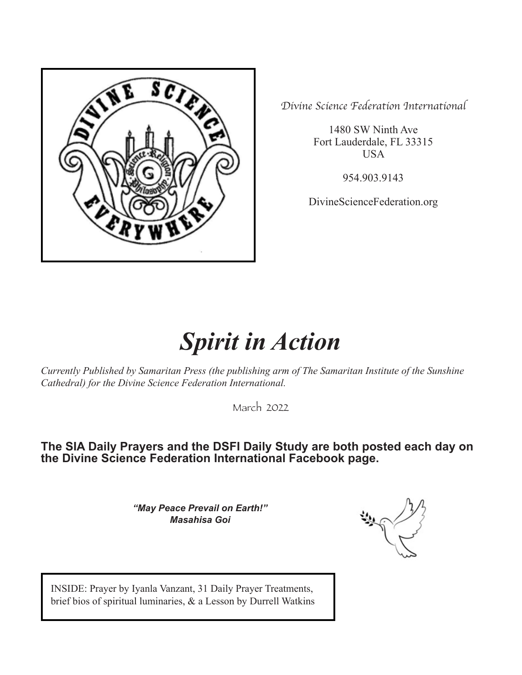

*Divine Science Federation International*

1480 SW Ninth Ave Fort Lauderdale, FL 33315 USA

954.903.9143

DivineScienceFederation.org

# *Spirit in Action*

*Currently Published by Samaritan Press (the publishing arm of The Samaritan Institute of the Sunshine Cathedral) for the Divine Science Federation International.*

March 2022

# **The SIA Daily Prayers and the DSFI Daily Study are both posted each day on the Divine Science Federation International Facebook page.**

*"May Peace Prevail on Earth!" Masahisa Goi*

INSIDE: Prayer by Iyanla Vanzant, 31 Daily Prayer Treatments, brief bios of spiritual luminaries, & a Lesson by Durrell Watkins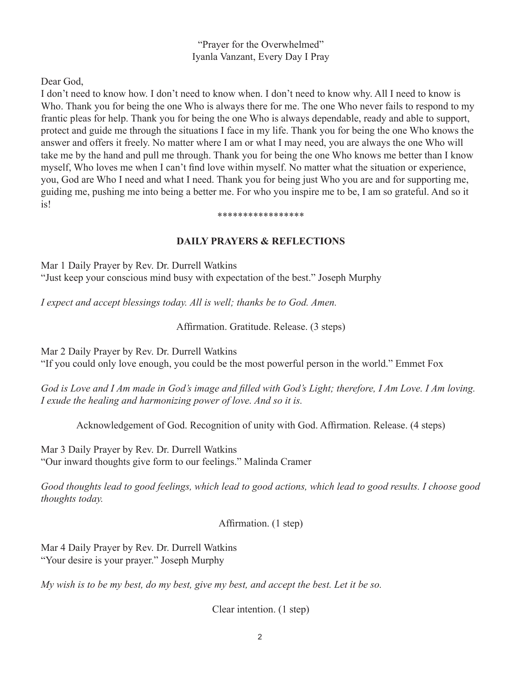"Prayer for the Overwhelmed" Iyanla Vanzant, Every Day I Pray

Dear God,

I don't need to know how. I don't need to know when. I don't need to know why. All I need to know is Who. Thank you for being the one Who is always there for me. The one Who never fails to respond to my frantic pleas for help. Thank you for being the one Who is always dependable, ready and able to support, protect and guide me through the situations I face in my life. Thank you for being the one Who knows the answer and offers it freely. No matter where I am or what I may need, you are always the one Who will take me by the hand and pull me through. Thank you for being the one Who knows me better than I know myself, Who loves me when I can't find love within myself. No matter what the situation or experience, you, God are Who I need and what I need. Thank you for being just Who you are and for supporting me, guiding me, pushing me into being a better me. For who you inspire me to be, I am so grateful. And so it is!

#### \*\*\*\*\*\*\*\*\*\*\*\*\*\*\*\*\*

## **DAILY PRAYERS & REFLECTIONS**

Mar 1 Daily Prayer by Rev. Dr. Durrell Watkins "Just keep your conscious mind busy with expectation of the best." Joseph Murphy

*I expect and accept blessings today. All is well; thanks be to God. Amen.*

Affirmation. Gratitude. Release. (3 steps)

Mar 2 Daily Prayer by Rev. Dr. Durrell Watkins

"If you could only love enough, you could be the most powerful person in the world." Emmet Fox

*God is Love and I Am made in God's image and filled with God's Light; therefore, I Am Love. I Am loving. I exude the healing and harmonizing power of love. And so it is.*

Acknowledgement of God. Recognition of unity with God. Affirmation. Release. (4 steps)

Mar 3 Daily Prayer by Rev. Dr. Durrell Watkins "Our inward thoughts give form to our feelings." Malinda Cramer

*Good thoughts lead to good feelings, which lead to good actions, which lead to good results. I choose good thoughts today.*

Affirmation. (1 step)

Mar 4 Daily Prayer by Rev. Dr. Durrell Watkins "Your desire is your prayer." Joseph Murphy

*My wish is to be my best, do my best, give my best, and accept the best. Let it be so.*

Clear intention. (1 step)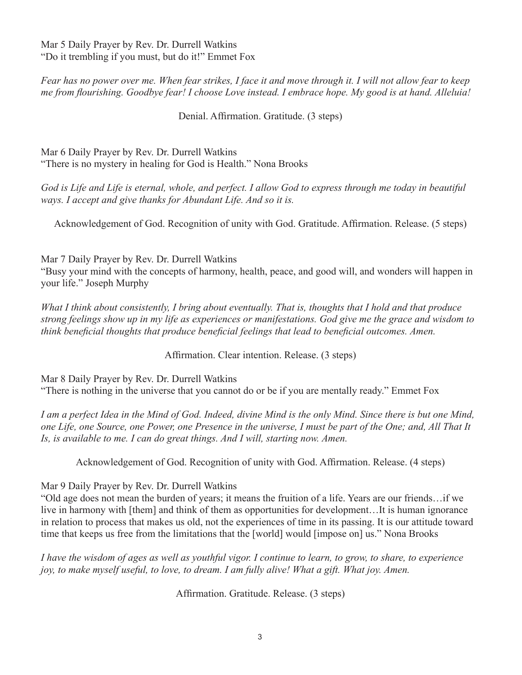Mar 5 Daily Prayer by Rev. Dr. Durrell Watkins "Do it trembling if you must, but do it!" Emmet Fox

*Fear has no power over me. When fear strikes, I face it and move through it. I will not allow fear to keep me from flourishing. Goodbye fear! I choose Love instead. I embrace hope. My good is at hand. Alleluia!*

Denial. Affirmation. Gratitude. (3 steps)

Mar 6 Daily Prayer by Rev. Dr. Durrell Watkins "There is no mystery in healing for God is Health." Nona Brooks

*God is Life and Life is eternal, whole, and perfect. I allow God to express through me today in beautiful ways. I accept and give thanks for Abundant Life. And so it is.*

Acknowledgement of God. Recognition of unity with God. Gratitude. Affirmation. Release. (5 steps)

Mar 7 Daily Prayer by Rev. Dr. Durrell Watkins

"Busy your mind with the concepts of harmony, health, peace, and good will, and wonders will happen in your life." Joseph Murphy

*What I think about consistently, I bring about eventually. That is, thoughts that I hold and that produce strong feelings show up in my life as experiences or manifestations. God give me the grace and wisdom to think beneficial thoughts that produce beneficial feelings that lead to beneficial outcomes. Amen.* 

Affirmation. Clear intention. Release. (3 steps)

Mar 8 Daily Prayer by Rev. Dr. Durrell Watkins "There is nothing in the universe that you cannot do or be if you are mentally ready." Emmet Fox

*I am a perfect Idea in the Mind of God. Indeed, divine Mind is the only Mind. Since there is but one Mind, one Life, one Source, one Power, one Presence in the universe, I must be part of the One; and, All That It Is, is available to me. I can do great things. And I will, starting now. Amen.* 

Acknowledgement of God. Recognition of unity with God. Affirmation. Release. (4 steps)

Mar 9 Daily Prayer by Rev. Dr. Durrell Watkins

"Old age does not mean the burden of years; it means the fruition of a life. Years are our friends…if we live in harmony with [them] and think of them as opportunities for development…It is human ignorance in relation to process that makes us old, not the experiences of time in its passing. It is our attitude toward time that keeps us free from the limitations that the [world] would [impose on] us." Nona Brooks

*I have the wisdom of ages as well as youthful vigor. I continue to learn, to grow, to share, to experience joy, to make myself useful, to love, to dream. I am fully alive! What a gift. What joy. Amen.* 

Affirmation. Gratitude. Release. (3 steps)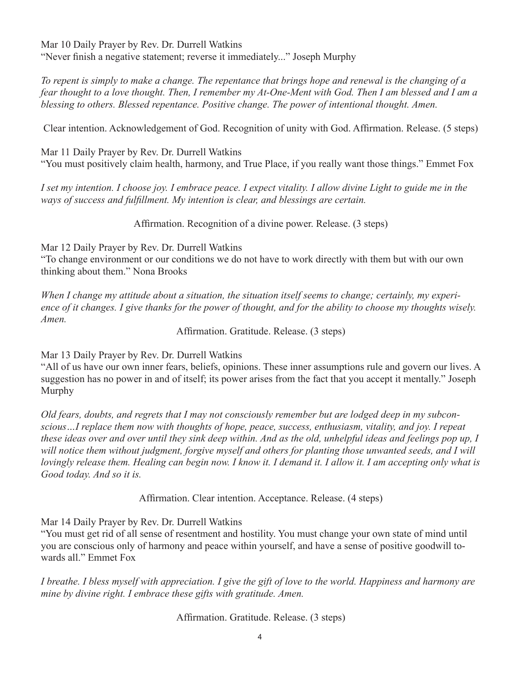Mar 10 Daily Prayer by Rev. Dr. Durrell Watkins "Never finish a negative statement; reverse it immediately..." Joseph Murphy

*To repent is simply to make a change. The repentance that brings hope and renewal is the changing of a fear thought to a love thought. Then, I remember my At-One-Ment with God. Then I am blessed and I am a blessing to others. Blessed repentance. Positive change. The power of intentional thought. Amen.*

Clear intention. Acknowledgement of God. Recognition of unity with God. Affirmation. Release. (5 steps)

Mar 11 Daily Prayer by Rev. Dr. Durrell Watkins "You must positively claim health, harmony, and True Place, if you really want those things." Emmet Fox

*I set my intention. I choose joy. I embrace peace. I expect vitality. I allow divine Light to guide me in the ways of success and fulfillment. My intention is clear, and blessings are certain.*

Affirmation. Recognition of a divine power. Release. (3 steps)

Mar 12 Daily Prayer by Rev. Dr. Durrell Watkins "To change environment or our conditions we do not have to work directly with them but with our own thinking about them." Nona Brooks

*When I change my attitude about a situation, the situation itself seems to change; certainly, my experience of it changes. I give thanks for the power of thought, and for the ability to choose my thoughts wisely. Amen.* 

Affirmation. Gratitude. Release. (3 steps)

Mar 13 Daily Prayer by Rev. Dr. Durrell Watkins

"All of us have our own inner fears, beliefs, opinions. These inner assumptions rule and govern our lives. A suggestion has no power in and of itself; its power arises from the fact that you accept it mentally." Joseph Murphy

*Old fears, doubts, and regrets that I may not consciously remember but are lodged deep in my subconscious…I replace them now with thoughts of hope, peace, success, enthusiasm, vitality, and joy. I repeat these ideas over and over until they sink deep within. And as the old, unhelpful ideas and feelings pop up, I*  will notice them without judgment, forgive myself and others for planting those unwanted seeds, and I will *lovingly release them. Healing can begin now. I know it. I demand it. I allow it. I am accepting only what is Good today. And so it is.*

Affirmation. Clear intention. Acceptance. Release. (4 steps)

Mar 14 Daily Prayer by Rev. Dr. Durrell Watkins

"You must get rid of all sense of resentment and hostility. You must change your own state of mind until you are conscious only of harmony and peace within yourself, and have a sense of positive goodwill towards all." Emmet Fox

*I breathe. I bless myself with appreciation. I give the gift of love to the world. Happiness and harmony are mine by divine right. I embrace these gifts with gratitude. Amen.* 

Affirmation. Gratitude. Release. (3 steps)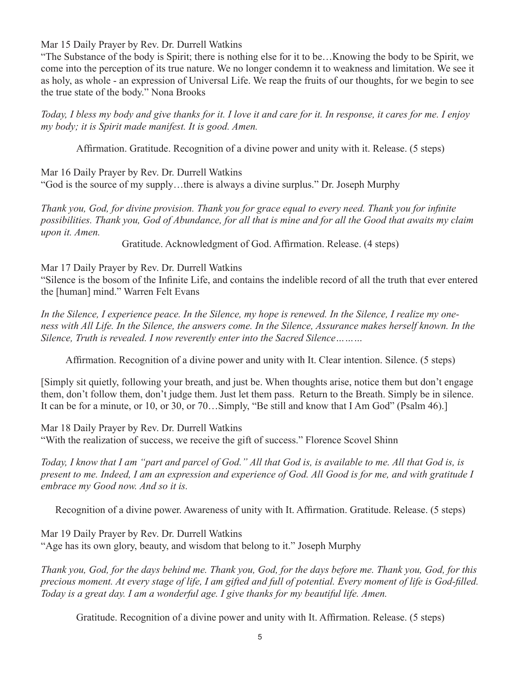Mar 15 Daily Prayer by Rev. Dr. Durrell Watkins

"The Substance of the body is Spirit; there is nothing else for it to be…Knowing the body to be Spirit, we come into the perception of its true nature. We no longer condemn it to weakness and limitation. We see it as holy, as whole - an expression of Universal Life. We reap the fruits of our thoughts, for we begin to see the true state of the body." Nona Brooks

*Today, I bless my body and give thanks for it. I love it and care for it. In response, it cares for me. I enjoy my body; it is Spirit made manifest. It is good. Amen.*

Affirmation. Gratitude. Recognition of a divine power and unity with it. Release. (5 steps)

Mar 16 Daily Prayer by Rev. Dr. Durrell Watkins "God is the source of my supply…there is always a divine surplus." Dr. Joseph Murphy

*Thank you, God, for divine provision. Thank you for grace equal to every need. Thank you for infinite possibilities. Thank you, God of Abundance, for all that is mine and for all the Good that awaits my claim upon it. Amen.*

Gratitude. Acknowledgment of God. Affirmation. Release. (4 steps)

Mar 17 Daily Prayer by Rev. Dr. Durrell Watkins

"Silence is the bosom of the Infinite Life, and contains the indelible record of all the truth that ever entered the [human] mind." Warren Felt Evans

*In the Silence, I experience peace. In the Silence, my hope is renewed. In the Silence, I realize my oneness with All Life. In the Silence, the answers come. In the Silence, Assurance makes herself known. In the Silence, Truth is revealed. I now reverently enter into the Sacred Silence………*

Affirmation. Recognition of a divine power and unity with It. Clear intention. Silence. (5 steps)

[Simply sit quietly, following your breath, and just be. When thoughts arise, notice them but don't engage them, don't follow them, don't judge them. Just let them pass. Return to the Breath. Simply be in silence. It can be for a minute, or 10, or 30, or 70…Simply, "Be still and know that I Am God" (Psalm 46).]

Mar 18 Daily Prayer by Rev. Dr. Durrell Watkins "With the realization of success, we receive the gift of success." Florence Scovel Shinn

*Today, I know that I am "part and parcel of God." All that God is, is available to me. All that God is, is present to me. Indeed, I am an expression and experience of God. All Good is for me, and with gratitude I embrace my Good now. And so it is.* 

Recognition of a divine power. Awareness of unity with It. Affirmation. Gratitude. Release. (5 steps)

Mar 19 Daily Prayer by Rev. Dr. Durrell Watkins "Age has its own glory, beauty, and wisdom that belong to it." Joseph Murphy

*Thank you, God, for the days behind me. Thank you, God, for the days before me. Thank you, God, for this precious moment. At every stage of life, I am gifted and full of potential. Every moment of life is God-filled. Today is a great day. I am a wonderful age. I give thanks for my beautiful life. Amen.* 

Gratitude. Recognition of a divine power and unity with It. Affirmation. Release. (5 steps)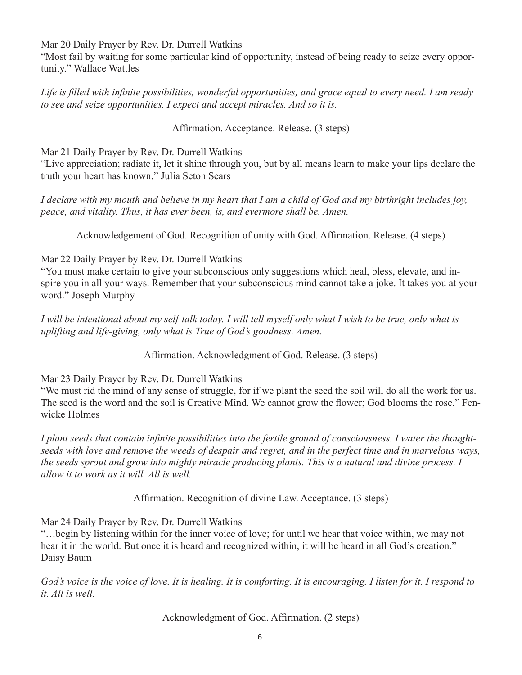Mar 20 Daily Prayer by Rev. Dr. Durrell Watkins

"Most fail by waiting for some particular kind of opportunity, instead of being ready to seize every opportunity." Wallace Wattles

*Life is filled with infinite possibilities, wonderful opportunities, and grace equal to every need. I am ready to see and seize opportunities. I expect and accept miracles. And so it is.*

# Affirmation. Acceptance. Release. (3 steps)

Mar 21 Daily Prayer by Rev. Dr. Durrell Watkins

"Live appreciation; radiate it, let it shine through you, but by all means learn to make your lips declare the truth your heart has known." Julia Seton Sears

*I declare with my mouth and believe in my heart that I am a child of God and my birthright includes joy, peace, and vitality. Thus, it has ever been, is, and evermore shall be. Amen.*

Acknowledgement of God. Recognition of unity with God. Affirmation. Release. (4 steps)

### Mar 22 Daily Prayer by Rev. Dr. Durrell Watkins

"You must make certain to give your subconscious only suggestions which heal, bless, elevate, and inspire you in all your ways. Remember that your subconscious mind cannot take a joke. It takes you at your word." Joseph Murphy

*I will be intentional about my self-talk today. I will tell myself only what I wish to be true, only what is uplifting and life-giving, only what is True of God's goodness. Amen.*

Affirmation. Acknowledgment of God. Release. (3 steps)

Mar 23 Daily Prayer by Rev. Dr. Durrell Watkins

"We must rid the mind of any sense of struggle, for if we plant the seed the soil will do all the work for us. The seed is the word and the soil is Creative Mind. We cannot grow the flower; God blooms the rose." Fenwicke Holmes

*I plant seeds that contain infinite possibilities into the fertile ground of consciousness. I water the thoughtseeds with love and remove the weeds of despair and regret, and in the perfect time and in marvelous ways, the seeds sprout and grow into mighty miracle producing plants. This is a natural and divine process. I allow it to work as it will. All is well.*

Affirmation. Recognition of divine Law. Acceptance. (3 steps)

Mar 24 Daily Prayer by Rev. Dr. Durrell Watkins

"…begin by listening within for the inner voice of love; for until we hear that voice within, we may not hear it in the world. But once it is heard and recognized within, it will be heard in all God's creation." Daisy Baum

*God's voice is the voice of love. It is healing. It is comforting. It is encouraging. I listen for it. I respond to it. All is well.*

Acknowledgment of God. Affirmation. (2 steps)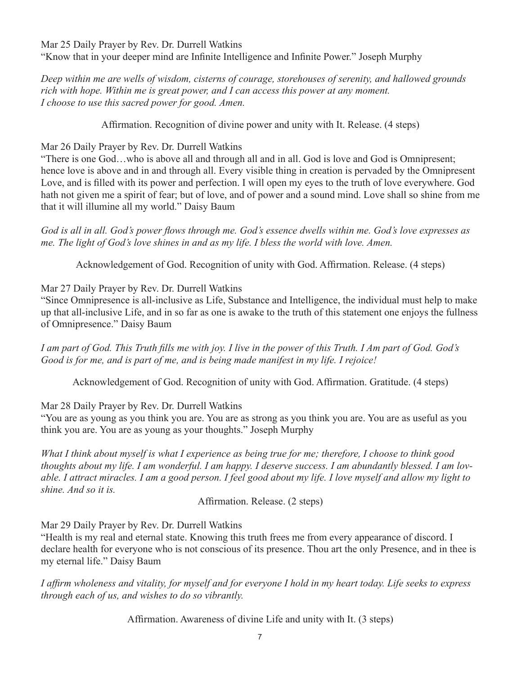Mar 25 Daily Prayer by Rev. Dr. Durrell Watkins "Know that in your deeper mind are Infinite Intelligence and Infinite Power." Joseph Murphy

*Deep within me are wells of wisdom, cisterns of courage, storehouses of serenity, and hallowed grounds rich with hope. Within me is great power, and I can access this power at any moment. I choose to use this sacred power for good. Amen.* 

Affirmation. Recognition of divine power and unity with It. Release. (4 steps)

# Mar 26 Daily Prayer by Rev. Dr. Durrell Watkins

"There is one God…who is above all and through all and in all. God is love and God is Omnipresent; hence love is above and in and through all. Every visible thing in creation is pervaded by the Omnipresent Love, and is filled with its power and perfection. I will open my eyes to the truth of love everywhere. God hath not given me a spirit of fear; but of love, and of power and a sound mind. Love shall so shine from me that it will illumine all my world." Daisy Baum

*God is all in all. God's power flows through me. God's essence dwells within me. God's love expresses as me. The light of God's love shines in and as my life. I bless the world with love. Amen.*

Acknowledgement of God. Recognition of unity with God. Affirmation. Release. (4 steps)

# Mar 27 Daily Prayer by Rev. Dr. Durrell Watkins

"Since Omnipresence is all-inclusive as Life, Substance and Intelligence, the individual must help to make up that all-inclusive Life, and in so far as one is awake to the truth of this statement one enjoys the fullness of Omnipresence." Daisy Baum

*I am part of God. This Truth fills me with joy. I live in the power of this Truth. I Am part of God. God's Good is for me, and is part of me, and is being made manifest in my life. I rejoice!*

Acknowledgement of God. Recognition of unity with God. Affirmation. Gratitude. (4 steps)

Mar 28 Daily Prayer by Rev. Dr. Durrell Watkins

"You are as young as you think you are. You are as strong as you think you are. You are as useful as you think you are. You are as young as your thoughts." Joseph Murphy

*What I think about myself is what I experience as being true for me; therefore, I choose to think good thoughts about my life. I am wonderful. I am happy. I deserve success. I am abundantly blessed. I am lovable. I attract miracles. I am a good person. I feel good about my life. I love myself and allow my light to shine. And so it is.* 

Affirmation. Release. (2 steps)

Mar 29 Daily Prayer by Rev. Dr. Durrell Watkins

"Health is my real and eternal state. Knowing this truth frees me from every appearance of discord. I declare health for everyone who is not conscious of its presence. Thou art the only Presence, and in thee is my eternal life." Daisy Baum

*I affirm wholeness and vitality, for myself and for everyone I hold in my heart today. Life seeks to express through each of us, and wishes to do so vibrantly.* 

Affirmation. Awareness of divine Life and unity with It. (3 steps)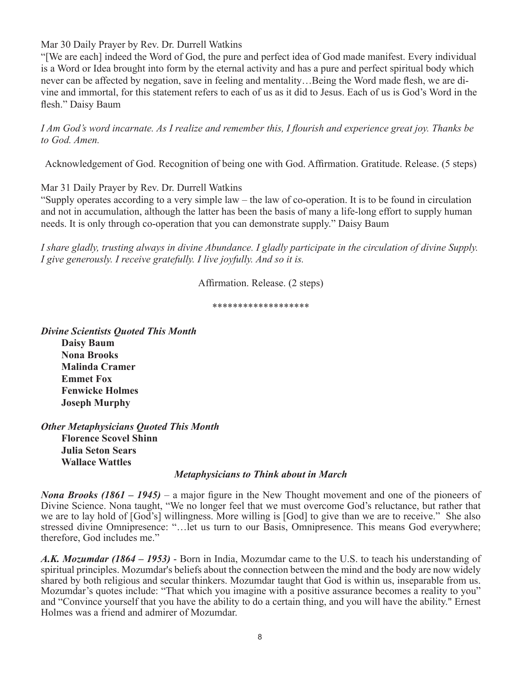Mar 30 Daily Prayer by Rev. Dr. Durrell Watkins

"[We are each] indeed the Word of God, the pure and perfect idea of God made manifest. Every individual is a Word or Idea brought into form by the eternal activity and has a pure and perfect spiritual body which never can be affected by negation, save in feeling and mentality…Being the Word made flesh, we are divine and immortal, for this statement refers to each of us as it did to Jesus. Each of us is God's Word in the flesh." Daisy Baum

*I Am God's word incarnate. As I realize and remember this, I flourish and experience great joy. Thanks be to God. Amen.*

Acknowledgement of God. Recognition of being one with God. Affirmation. Gratitude. Release. (5 steps)

Mar 31 Daily Prayer by Rev. Dr. Durrell Watkins

"Supply operates according to a very simple law – the law of co-operation. It is to be found in circulation and not in accumulation, although the latter has been the basis of many a life-long effort to supply human needs. It is only through co-operation that you can demonstrate supply." Daisy Baum

*I share gladly, trusting always in divine Abundance. I gladly participate in the circulation of divine Supply. I give generously. I receive gratefully. I live joyfully. And so it is.*

Affirmation. Release. (2 steps)

\*\*\*\*\*\*\*\*\*\*\*\*\*\*\*\*\*\*\*

*Divine Scientists Quoted This Month*

**Daisy Baum Nona Brooks Malinda Cramer Emmet Fox Fenwicke Holmes Joseph Murphy**

*Other Metaphysicians Quoted This Month* **Florence Scovel Shinn Julia Seton Sears Wallace Wattles**

#### *Metaphysicians to Think about in March*

*Nona Brooks (1861 – 1945)* – a major figure in the New Thought movement and one of the pioneers of Divine Science. Nona taught, "We no longer feel that we must overcome God's reluctance, but rather that we are to lay hold of [God's] willingness. More willing is [God] to give than we are to receive." She also stressed divine Omnipresence: "…let us turn to our Basis, Omnipresence. This means God everywhere; therefore, God includes me."

*A.K. Mozumdar (1864 – 1953)* - Born in India, Mozumdar came to the U.S. to teach his understanding of spiritual principles. Mozumdar's beliefs about the connection between the mind and the body are now widely shared by both religious and secular thinkers. Mozumdar taught that God is within us, inseparable from us. Mozumdar's quotes include: "That which you imagine with a positive assurance becomes a reality to you" and "Convince yourself that you have the ability to do a certain thing, and you will have the ability." Ernest Holmes was a friend and admirer of Mozumdar.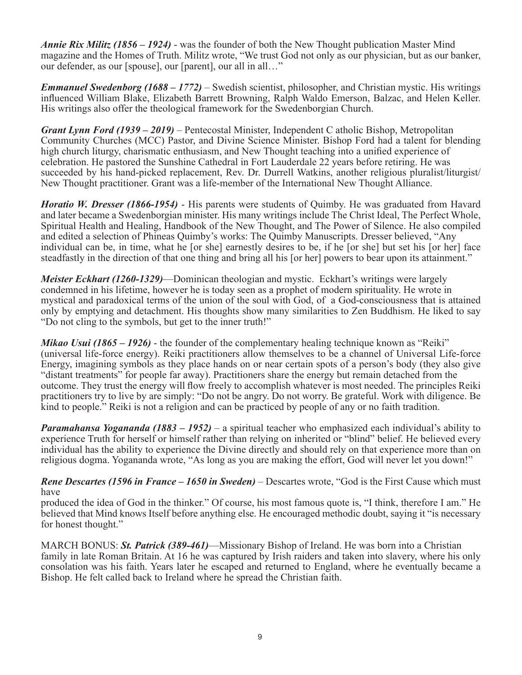*Annie Rix Militz (1856 – 1924)* - was the founder of both the New Thought publication Master Mind magazine and the Homes of Truth. Militz wrote, "We trust God not only as our physician, but as our banker, our defender, as our [spouse], our [parent], our all in all…"

*Emmanuel Swedenborg (1688 – 1772)* – Swedish scientist, philosopher, and Christian mystic. His writings influenced William Blake, Elizabeth Barrett Browning, Ralph Waldo Emerson, Balzac, and Helen Keller. His writings also offer the theological framework for the Swedenborgian Church.

*Grant Lynn Ford (1939 – 2019)* – Pentecostal Minister, Independent C atholic Bishop, Metropolitan Community Churches (MCC) Pastor, and Divine Science Minister. Bishop Ford had a talent for blending high church liturgy, charismatic enthusiasm, and New Thought teaching into a unified experience of celebration. He pastored the Sunshine Cathedral in Fort Lauderdale 22 years before retiring. He was succeeded by his hand-picked replacement, Rev. Dr. Durrell Watkins, another religious pluralist/liturgist/ New Thought practitioner. Grant was a life-member of the International New Thought Alliance.

*Horatio W. Dresser (1866-1954)* - His parents were students of Quimby. He was graduated from Havard and later became a Swedenborgian minister. His many writings include The Christ Ideal, The Perfect Whole, Spiritual Health and Healing, Handbook of the New Thought, and The Power of Silence. He also compiled and edited a selection of Phineas Quimby's works: The Quimby Manuscripts. Dresser believed, "Any individual can be, in time, what he [or she] earnestly desires to be, if he [or she] but set his [or her] face steadfastly in the direction of that one thing and bring all his [or her] powers to bear upon its attainment."

*Meister Eckhart (1260-1329)*—Dominican theologian and mystic. Eckhart's writings were largely condemned in his lifetime, however he is today seen as a prophet of modern spirituality. He wrote in mystical and paradoxical terms of the union of the soul with God, of a God-consciousness that is attained only by emptying and detachment. His thoughts show many similarities to Zen Buddhism. He liked to say "Do not cling to the symbols, but get to the inner truth!"

*Mikao Usui (1865 – 1926)* - the founder of the complementary healing technique known as "Reiki" (universal life-force energy). Reiki practitioners allow themselves to be a channel of Universal Life-force Energy, imagining symbols as they place hands on or near certain spots of a person's body (they also give "distant treatments" for people far away). Practitioners share the energy but remain detached from the outcome. They trust the energy will flow freely to accomplish whatever is most needed. The principles Reiki practitioners try to live by are simply: "Do not be angry. Do not worry. Be grateful. Work with diligence. Be kind to people." Reiki is not a religion and can be practiced by people of any or no faith tradition.

*Paramahansa Yogananda (1883 – 1952)* – a spiritual teacher who emphasized each individual's ability to experience Truth for herself or himself rather than relying on inherited or "blind" belief. He believed every individual has the ability to experience the Divine directly and should rely on that experience more than on religious dogma. Yogananda wrote, "As long as you are making the effort, God will never let you down!"

*Rene Descartes (1596 in France – 1650 in Sweden)* – Descartes wrote, "God is the First Cause which must have

produced the idea of God in the thinker." Of course, his most famous quote is, "I think, therefore I am." He believed that Mind knows Itself before anything else. He encouraged methodic doubt, saying it "is necessary for honest thought."

MARCH BONUS: *St. Patrick (389-461)*—Missionary Bishop of Ireland. He was born into a Christian family in late Roman Britain. At 16 he was captured by Irish raiders and taken into slavery, where his only consolation was his faith. Years later he escaped and returned to England, where he eventually became a Bishop. He felt called back to Ireland where he spread the Christian faith.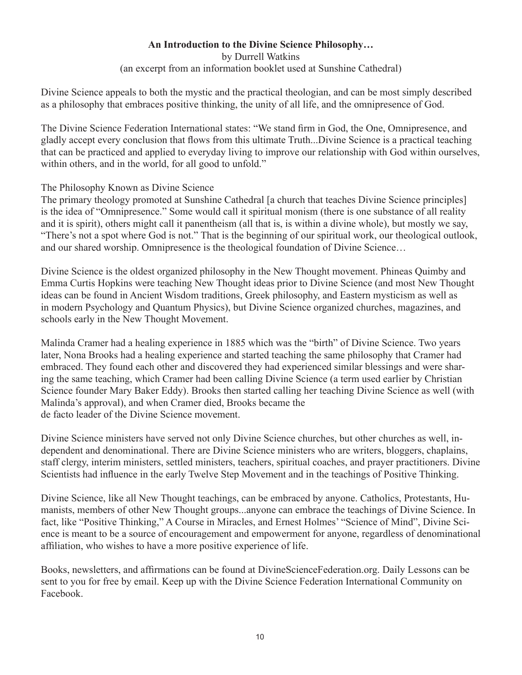# **An Introduction to the Divine Science Philosophy…**

by Durrell Watkins (an excerpt from an information booklet used at Sunshine Cathedral)

Divine Science appeals to both the mystic and the practical theologian, and can be most simply described as a philosophy that embraces positive thinking, the unity of all life, and the omnipresence of God.

The Divine Science Federation International states: "We stand firm in God, the One, Omnipresence, and gladly accept every conclusion that flows from this ultimate Truth...Divine Science is a practical teaching that can be practiced and applied to everyday living to improve our relationship with God within ourselves, within others, and in the world, for all good to unfold."

### The Philosophy Known as Divine Science

The primary theology promoted at Sunshine Cathedral [a church that teaches Divine Science principles] is the idea of "Omnipresence." Some would call it spiritual monism (there is one substance of all reality and it is spirit), others might call it panentheism (all that is, is within a divine whole), but mostly we say, "There's not a spot where God is not." That is the beginning of our spiritual work, our theological outlook, and our shared worship. Omnipresence is the theological foundation of Divine Science…

Divine Science is the oldest organized philosophy in the New Thought movement. Phineas Quimby and Emma Curtis Hopkins were teaching New Thought ideas prior to Divine Science (and most New Thought ideas can be found in Ancient Wisdom traditions, Greek philosophy, and Eastern mysticism as well as in modern Psychology and Quantum Physics), but Divine Science organized churches, magazines, and schools early in the New Thought Movement.

Malinda Cramer had a healing experience in 1885 which was the "birth" of Divine Science. Two years later, Nona Brooks had a healing experience and started teaching the same philosophy that Cramer had embraced. They found each other and discovered they had experienced similar blessings and were sharing the same teaching, which Cramer had been calling Divine Science (a term used earlier by Christian Science founder Mary Baker Eddy). Brooks then started calling her teaching Divine Science as well (with Malinda's approval), and when Cramer died, Brooks became the de facto leader of the Divine Science movement.

Divine Science ministers have served not only Divine Science churches, but other churches as well, independent and denominational. There are Divine Science ministers who are writers, bloggers, chaplains, staff clergy, interim ministers, settled ministers, teachers, spiritual coaches, and prayer practitioners. Divine Scientists had influence in the early Twelve Step Movement and in the teachings of Positive Thinking.

Divine Science, like all New Thought teachings, can be embraced by anyone. Catholics, Protestants, Humanists, members of other New Thought groups...anyone can embrace the teachings of Divine Science. In fact, like "Positive Thinking," A Course in Miracles, and Ernest Holmes' "Science of Mind", Divine Science is meant to be a source of encouragement and empowerment for anyone, regardless of denominational affiliation, who wishes to have a more positive experience of life.

Books, newsletters, and affirmations can be found at DivineScienceFederation.org. Daily Lessons can be sent to you for free by email. Keep up with the Divine Science Federation International Community on Facebook.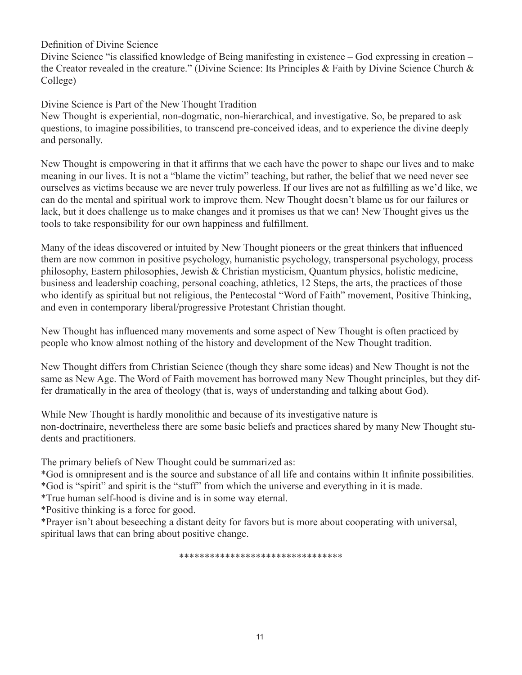Definition of Divine Science

Divine Science "is classified knowledge of Being manifesting in existence – God expressing in creation – the Creator revealed in the creature." (Divine Science: Its Principles & Faith by Divine Science Church & College)

Divine Science is Part of the New Thought Tradition

New Thought is experiential, non-dogmatic, non-hierarchical, and investigative. So, be prepared to ask questions, to imagine possibilities, to transcend pre-conceived ideas, and to experience the divine deeply and personally.

New Thought is empowering in that it affirms that we each have the power to shape our lives and to make meaning in our lives. It is not a "blame the victim" teaching, but rather, the belief that we need never see ourselves as victims because we are never truly powerless. If our lives are not as fulfilling as we'd like, we can do the mental and spiritual work to improve them. New Thought doesn't blame us for our failures or lack, but it does challenge us to make changes and it promises us that we can! New Thought gives us the tools to take responsibility for our own happiness and fulfillment.

Many of the ideas discovered or intuited by New Thought pioneers or the great thinkers that influenced them are now common in positive psychology, humanistic psychology, transpersonal psychology, process philosophy, Eastern philosophies, Jewish & Christian mysticism, Quantum physics, holistic medicine, business and leadership coaching, personal coaching, athletics, 12 Steps, the arts, the practices of those who identify as spiritual but not religious, the Pentecostal "Word of Faith" movement, Positive Thinking, and even in contemporary liberal/progressive Protestant Christian thought.

New Thought has influenced many movements and some aspect of New Thought is often practiced by people who know almost nothing of the history and development of the New Thought tradition.

New Thought differs from Christian Science (though they share some ideas) and New Thought is not the same as New Age. The Word of Faith movement has borrowed many New Thought principles, but they differ dramatically in the area of theology (that is, ways of understanding and talking about God).

While New Thought is hardly monolithic and because of its investigative nature is non-doctrinaire, nevertheless there are some basic beliefs and practices shared by many New Thought students and practitioners.

The primary beliefs of New Thought could be summarized as:

\*God is omnipresent and is the source and substance of all life and contains within It infinite possibilities. \*God is "spirit" and spirit is the "stuff" from which the universe and everything in it is made.

\*True human self-hood is divine and is in some way eternal.

\*Positive thinking is a force for good.

\*Prayer isn't about beseeching a distant deity for favors but is more about cooperating with universal, spiritual laws that can bring about positive change.

\*\*\*\*\*\*\*\*\*\*\*\*\*\*\*\*\*\*\*\*\*\*\*\*\*\*\*\*\*\*\*\*